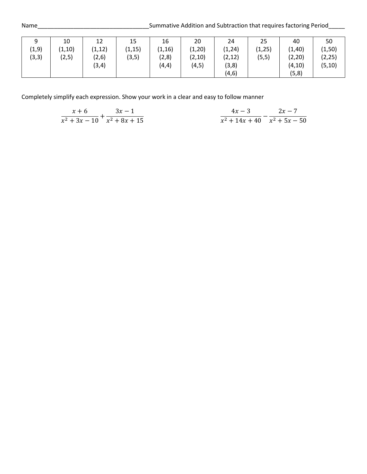| 9      | 10      | 12      | 15      | 16      | 20      | 24      | 25      | 40      | 50      |
|--------|---------|---------|---------|---------|---------|---------|---------|---------|---------|
| (1, 9) | (1, 10) | (1, 12) | (1, 15) | (1, 16) | (1, 20) | (1, 24) | (1, 25) | (1, 40) | (1, 50) |
| (3,3)  | (2, 5)  | (2,6)   | (3, 5)  | (2,8)   | (2, 10) | (2, 12) | (5, 5)  | (2, 20) | (2, 25) |
|        |         | (3, 4)  |         | (4, 4)  | (4, 5)  | (3, 8)  |         | (4, 10) | (5, 10) |
|        |         |         |         |         |         | (4, 6)  |         | (5,8)   |         |

$$
\frac{x+6}{x^2+3x-10} + \frac{3x-1}{x^2+8x+15}
$$
\n
$$
\frac{4x-3}{x^2+14x+40} - \frac{2x-7}{x^2+5x-50}
$$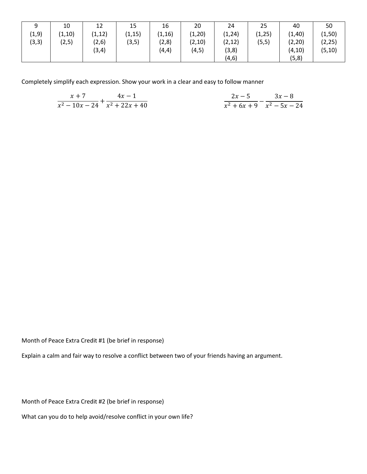| a<br>ٮ | 10      | 12      | 15      | 16      | 20      | 24      | 25      | 40      | 50      |
|--------|---------|---------|---------|---------|---------|---------|---------|---------|---------|
| (1, 9) | (1, 10) | (1, 12) | (1, 15) | (1, 16) | (1, 20) | (1, 24) | (1, 25) | (1, 40) | (1, 50) |
| (3,3)  | (2, 5)  | (2,6)   | (3, 5)  | (2,8)   | (2, 10) | (2, 12) | (5, 5)  | (2, 20) | (2, 25) |
|        |         | (3, 4)  |         | (4, 4)  | (4, 5)  | (3, 8)  |         | (4, 10) | (5, 10) |
|        |         |         |         |         |         | (4, 6)  |         | (5,8)   |         |

| $x+7$ $4x-1$              | $2x - 5$ $3x - 8$              |
|---------------------------|--------------------------------|
| $x^2-10x-24$ $x^2+22x+40$ | $x^2 + 6x + 9$ $x^2 - 5x - 24$ |

Month of Peace Extra Credit #1 (be brief in response)

Explain a calm and fair way to resolve a conflict between two of your friends having an argument.

Month of Peace Extra Credit #2 (be brief in response)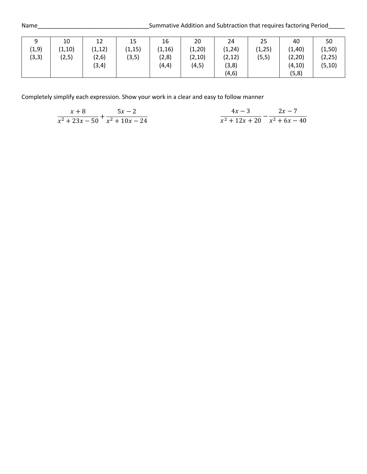| 9      | 10      | 12      | 15      | 16      | 20      | 24      | 25      | 40      | 50      |
|--------|---------|---------|---------|---------|---------|---------|---------|---------|---------|
| (1, 9) | (1, 10) | (1, 12) | (1, 15) | (1, 16) | (1, 20) | (1, 24) | (1, 25) | (1, 40) | (1, 50) |
| (3,3)  | (2,5)   | (2,6)   | (3, 5)  | (2,8)   | (2, 10) | (2, 12) | (5, 5)  | (2, 20) | (2, 25) |
|        |         | (3, 4)  |         | (4, 4)  | (4, 5)  | (3, 8)  |         | (4, 10) | (5, 10) |
|        |         |         |         |         |         | (4, 6)  |         | (5, 8)  |         |

$$
\frac{x+8}{x^2+23x-50} + \frac{5x-2}{x^2+10x-24}
$$
\n
$$
\frac{4x-3}{x^2+12x+20} - \frac{2x-7}{x^2+6x-40}
$$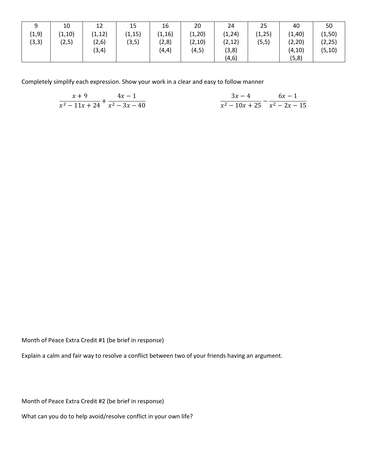| a<br>ٮ | 10      | 12      | 15      | 16      | 20      | 24      | 25      | 40      | 50      |
|--------|---------|---------|---------|---------|---------|---------|---------|---------|---------|
| (1, 9) | (1, 10) | (1, 12) | (1, 15) | (1, 16) | (1, 20) | (1, 24) | (1, 25) | (1, 40) | (1, 50) |
| (3,3)  | (2, 5)  | (2,6)   | (3, 5)  | (2,8)   | (2, 10) | (2, 12) | (5, 5)  | (2, 20) | (2, 25) |
|        |         | (3, 4)  |         | (4, 4)  | (4, 5)  | (3, 8)  |         | (4, 10) | (5, 10) |
|        |         |         |         |         |         | (4, 6)  |         | (5,8)   |         |

| $x+9$ $4x-1$                           | $3x-4$ 6x - 1            |  |
|----------------------------------------|--------------------------|--|
| $\sqrt{x^2-11x+24}$ $\sqrt{x^2-3x-40}$ | $x^2-10x+25$ $x^2-2x-15$ |  |

Month of Peace Extra Credit #1 (be brief in response)

Explain a calm and fair way to resolve a conflict between two of your friends having an argument.

Month of Peace Extra Credit #2 (be brief in response)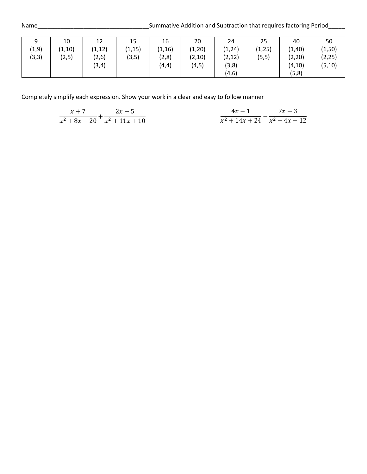| a<br>ر | 10      | 12      | 15      | 16      | 20      | 24      | 25      | 40      | 50      |
|--------|---------|---------|---------|---------|---------|---------|---------|---------|---------|
| (1, 9) | (1, 10) | (1, 12) | (1, 15) | (1, 16) | (1, 20) | (1, 24) | (1, 25) | (1, 40) | (1, 50) |
| (3,3)  | (2, 5)  | (2,6)   | (3, 5)  | (2,8)   | (2, 10) | (2, 12) | (5, 5)  | (2, 20) | (2, 25) |
|        |         | (3, 4)  |         | (4, 4)  | (4, 5)  | (3, 8)  |         | (4, 10) | (5, 10) |
|        |         |         |         |         |         | (4, 6)  |         | (5,8)   |         |

$$
\frac{x+7}{x^2+8x-20} + \frac{2x-5}{x^2+11x+10}
$$
\n
$$
\frac{4x-1}{x^2+14x+24} - \frac{7x-3}{x^2-4x-12}
$$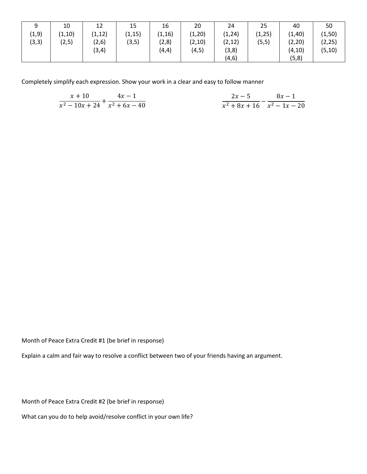| a<br>◡ | 10      | 12      | 15      | 16      | 20      | 24      | 25      | 40      | 50      |
|--------|---------|---------|---------|---------|---------|---------|---------|---------|---------|
| (1, 9) | (1, 10) | (1, 12) | (1, 15) | (1, 16) | (1, 20) | (1, 24) | (1, 25) | (1, 40) | (1, 50) |
| (3,3)  | (2, 5)  | (2, 6)  | (3, 5)  | (2,8)   | (2,10)  | (2, 12) | (5, 5)  | (2, 20) | (2, 25) |
|        |         | (3, 4)  |         | (4, 4)  | (4, 5)  | (3, 8)  |         | (4, 10) | (5, 10) |
|        |         |         |         |         |         | (4, 6)  |         | (5,8)   |         |

| $x + 10$ $4x - 1$              | $2x - 5$ $8x - 1$               |  |
|--------------------------------|---------------------------------|--|
| $x^2-10x+24$ $\bar{x}^2+6x-40$ | $x^2 + 8x + 16$ $x^2 - 1x - 20$ |  |

Month of Peace Extra Credit #1 (be brief in response)

Explain a calm and fair way to resolve a conflict between two of your friends having an argument.

Month of Peace Extra Credit #2 (be brief in response)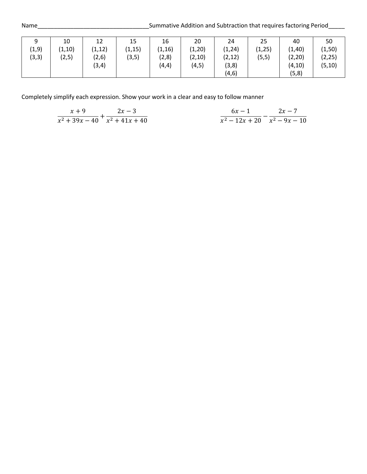| 9      | 10      | 12      | 15      | 16      | 20      | 24      | 25      | 40      | 50      |
|--------|---------|---------|---------|---------|---------|---------|---------|---------|---------|
| (1, 9) | (1, 10) | (1, 12) | (1, 15) | (1, 16) | (1, 20) | (1, 24) | (1, 25) | (1, 40) | (1, 50) |
| (3,3)  | (2,5)   | (2,6)   | (3, 5)  | (2,8)   | (2, 10) | (2, 12) | (5, 5)  | (2, 20) | (2, 25) |
|        |         | (3, 4)  |         | (4, 4)  | (4, 5)  | (3, 8)  |         | (4, 10) | (5, 10) |
|        |         |         |         |         |         | (4, 6)  |         | (5, 8)  |         |

$$
\frac{x+9}{x^2+39x-40} + \frac{2x-3}{x^2+41x+40} \qquad \qquad \frac{6x-1}{x^2-12x+20} - \frac{2x-7}{x^2-9x-10}
$$